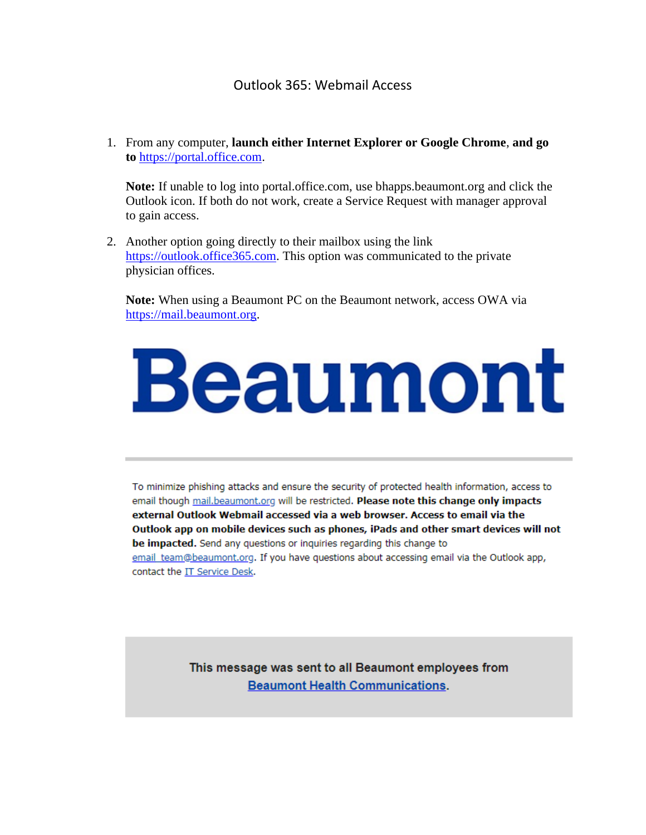## Outlook 365: Webmail Access

1. From any computer, **launch either Internet Explorer or Google Chrome**, **and go to** [https://portal.office.com.](https://portal.office.com/)

**Note:** If unable to log into portal.office.com, use bhapps.beaumont.org and click the Outlook icon. If both do not work, create a Service Request with manager approval to gain access.

2. Another option going directly to their mailbox using the link [https://outlook.office365.com.](https://outlook.office365.com/) This option was communicated to the private physician offices.

**Note:** When using a Beaumont PC on the Beaumont network, access OWA via [https://mail.beaumont.org.](https://mail.beaumont.org/)

## Beaumont

To minimize phishing attacks and ensure the security of protected health information, access to email though mail.beaumont.org will be restricted. Please note this change only impacts external Outlook Webmail accessed via a web browser. Access to email via the Outlook app on mobile devices such as phones, iPads and other smart devices will not be impacted. Send any questions or inquiries regarding this change to email team@beaumont.org. If you have questions about accessing email via the Outlook app, contact the IT Service Desk.

> This message was sent to all Beaumont employees from **Beaumont Health Communications.**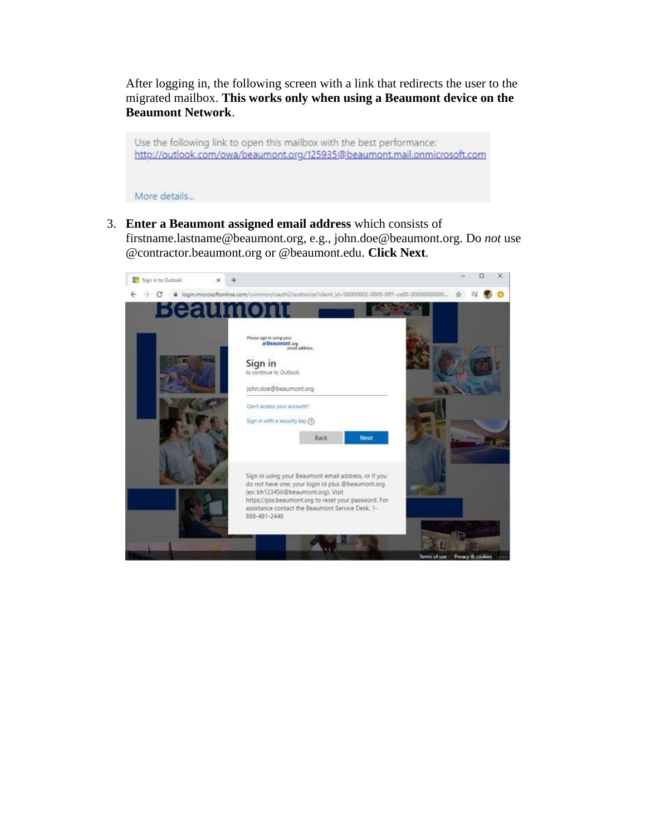After logging in, the following screen with a link that redirects the user to the migrated mailbox. **This works only when using a Beaumont device on the Beaumont Network**.

Use the following link to open this mailbox with the best performance: http://outlook.com/owa/beaumont.org/125935@beaumont.mail.onmicrosoft.com

More details...

3. **Enter a Beaumont assigned email address** which consists of firstname.lastname@beaumont.org, e.g., john.doe@beaumont.org. Do *not* use @contractor.beaumont.org or @beaumont.edu. **Click Next**.

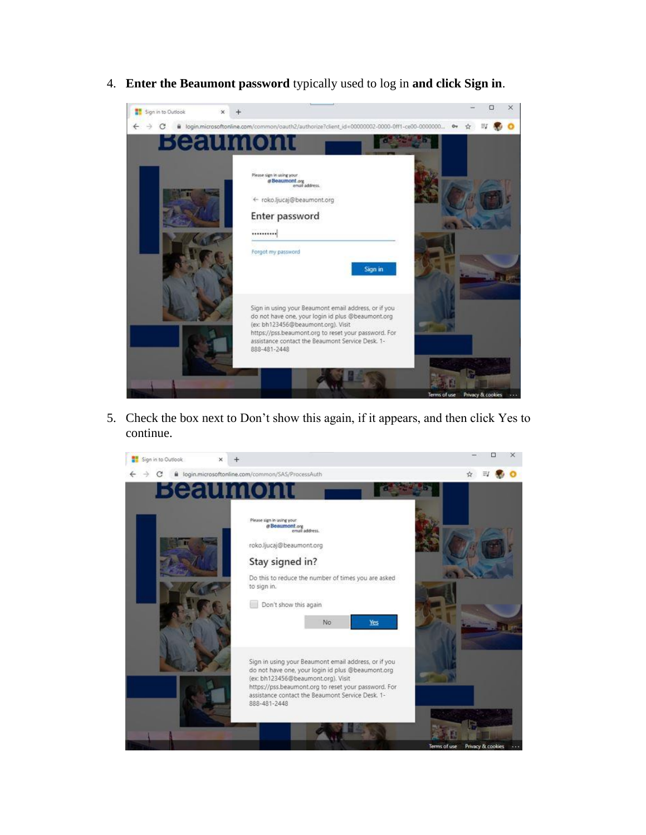4. **Enter the Beaumont password** typically used to log in **and click Sign in**.



5. Check the box next to Don't show this again, if it appears, and then click Yes to continue.

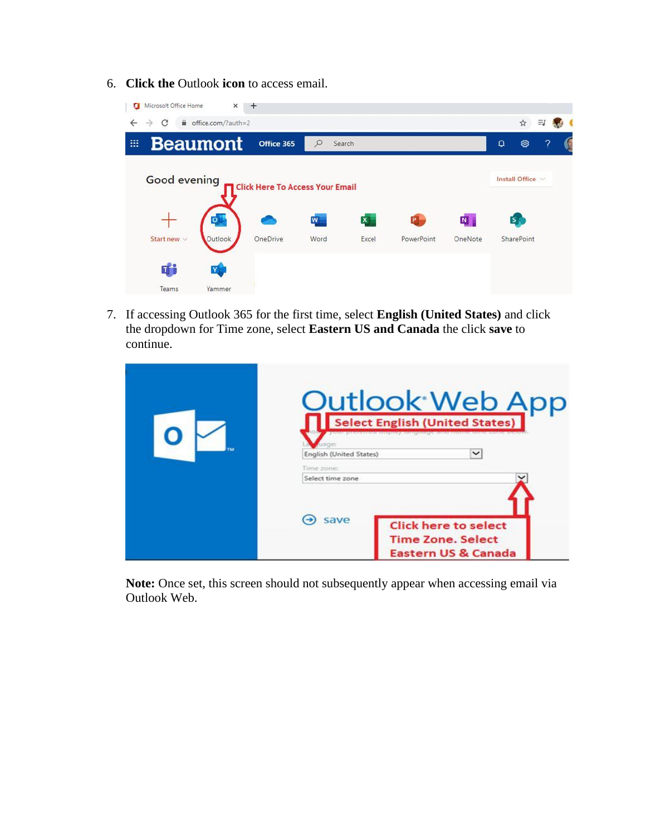6. **Click the** Outlook **icon** to access email.

| Microsoft Office Home  | ×                  | $\div$                                 |              |              |            |         |          |                         |                          |  |
|------------------------|--------------------|----------------------------------------|--------------|--------------|------------|---------|----------|-------------------------|--------------------------|--|
| €<br>C<br>$\leftarrow$ | office.com/?auth=2 |                                        |              |              |            |         |          | ☆                       |                          |  |
| m                      | <b>Beaumont</b>    | Office 365                             | ρ<br>Search  |              |            |         | $\Omega$ | త                       | $\overline{\mathcal{E}}$ |  |
| <b>Good evening</b>    |                    | <b>Click Here To Access Your Email</b> |              |              |            |         |          | Install Office          |                          |  |
|                        |                    |                                        | $\mathbf{w}$ | $\mathbf{x}$ | P          | N       |          | $\overline{\mathbf{s}}$ |                          |  |
| Start new $\vee$       | Outlook            | OneDrive                               | Word         | Excel        | PowerPoint | OneNote |          | SharePoint              |                          |  |
| Ef <sup>3</sup>        | Y                  |                                        |              |              |            |         |          |                         |                          |  |
| Teams                  | Yammer             |                                        |              |              |            |         |          |                         |                          |  |

7. If accessing Outlook 365 for the first time, select **English (United States)** and click the dropdown for Time zone, select **Eastern US and Canada** the click **save** to continue.

| <b>Qutlook Web App</b><br><b>Select English (United States)</b><br>$\check{ }$<br>English (United States) |  |  |  |  |  |
|-----------------------------------------------------------------------------------------------------------|--|--|--|--|--|
| Time zone:<br>Select time zone                                                                            |  |  |  |  |  |
| save<br><b>Click here to select</b><br><b>Time Zone, Select</b><br><b>Eastern US &amp; Canada</b>         |  |  |  |  |  |

**Note:** Once set, this screen should not subsequently appear when accessing email via Outlook Web.